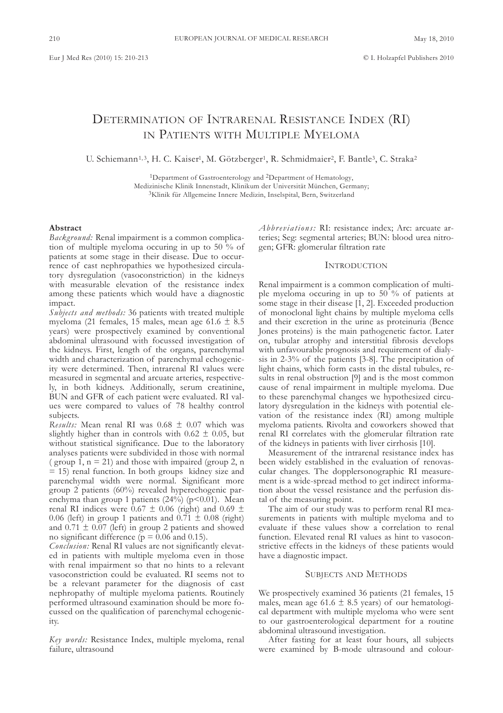# DETERMINATION OF INTRARENAL RESISTANCE INDEX (RI) In PatIEnts wItH MultIPlE MyEloMa

U. Schiemann<sup>1,3</sup>, H. C. Kaiser<sup>1</sup>, M. Götzberger<sup>1</sup>, R. Schmidmaier<sup>2</sup>, F. Bantle<sup>3</sup>, C. Straka<sup>2</sup>

<sup>1</sup>Department of Gastroenterology and <sup>2</sup>Department of Hematology, Medizinische Klinik Innenstadt, Klinikum der Universität München, Germany; 3Klinik für allgemeine Innere Medizin, Inselspital, Bern, switzerland

#### **Abstract**

*Background:* Renal impairment is a common complication of multiple myeloma occuring in up to 50 % of patients at some stage in their disease. Due to occurrence of cast nephropathies we hypothesized circulatory dysregulation (vasoconstriction) in the kidneys with measurable elevation of the resistance index among these patients which would have a diagnostic impact.

*Subjects and methods:* 36 patients with treated multiple myeloma (21 females, 15 males, mean age 61.6  $\pm$  8.5 years) were prospectively examined by conventional abdominal ultrasound with focussed investigation of the kidneys. first, length of the organs, parenchymal width and characterization of parenchymal echogenicity were determined. Then, intrarenal RI values were measured in segmental and arcuate arteries, respectively, in both kidneys. Additionally, serum creatinine, BUN and GFR of each patient were evaluated. RI values were compared to values of 78 healthy control subjects.

*Results:* Mean renal RI was 0.68 ± 0.07 which was slightly higher than in controls with  $0.62 \pm 0.05$ , but without statistical significance. Due to the laboratory analyses patients were subdivided in those with normal ( group 1,  $n = 21$ ) and those with impaired (group 2, n) = 15) renal function. In both groups kidney size and parenchymal width were normal. significant more group 2 patients (60%) revealed hyperechogenic parenchyma than group 1 patients  $(24%)$  (p<0.01). Mean renal RI indices were  $0.67 \pm 0.06$  (right) and  $0.69 \pm 0.06$ 0.06 (left) in group 1 patients and 0.71  $\pm$  0.08 (right) and  $0.71 \pm 0.07$  (left) in group 2 patients and showed no significant difference ( $p = 0.06$  and 0.15).

*Conclusion:* Renal RI values are not significantly elevated in patients with multiple myeloma even in those with renal impairment so that no hints to a relevant vasoconstriction could be evaluated. RI seems not to be a relevant parameter for the diagnosis of cast nephropathy of multiple myeloma patients. Routinely performed ultrasound examination should be more focussed on the qualification of parenchymal echogenicity.

*Key words:* Resistance Index, multiple myeloma, renal failure, ultrasound

*Abbreviations:* RI: resistance index; Arc: arcuate arteries; Seg: segmental arteries; BUN: blood urea nitrogen; GfR: glomerular filtration rate

## **INTRODUCTION**

Renal impairment is a common complication of multiple myeloma occuring in up to 50 % of patients at some stage in their disease [1, 2]. Exceeded production of monoclonal light chains by multiple myeloma cells and their excretion in the urine as proteinuria (Bence Jones proteins) is the main pathogenetic factor. later on, tubular atrophy and interstitial fibrosis develops with unfavourable prognosis and requirement of dialysis in 2-3% of the patients [3-8]. The precipitation of light chains, which form casts in the distal tubules, results in renal obstruction [9] and is the most common cause of renal impairment in multiple myeloma. Due to these parenchymal changes we hypothesized circulatory dysregulation in the kidneys with potential elevation of the resistance index (RI) among multiple myeloma patients. Rivolta and coworkers showed that renal RI correlates with the glomerular filtration rate of the kidneys in patients with liver cirrhosis [10].

Measurement of the intrarenal resistance index has been widely established in the evaluation of renovascular changes. The dopplersonographic RI measurement is a wide-spread method to get indirect information about the vessel resistance and the perfusion distal of the measuring point.

The aim of our study was to perform renal RI measurements in patients with multiple myeloma and to evaluate if these values show a correlation to renal function. Elevated renal RI values as hint to vasoconstrictive effects in the kidneys of these patients would have a diagnostic impact.

# SUBJECTS AND METHODS

we prospectively examined 36 patients (21 females, 15 males, mean age 61.6  $\pm$  8.5 years) of our hematological department with multiple myeloma who were sent to our gastroenterological department for a routine abdominal ultrasound investigation.

after fasting for at least four hours, all subjects were examined by B-mode ultrasound and colour-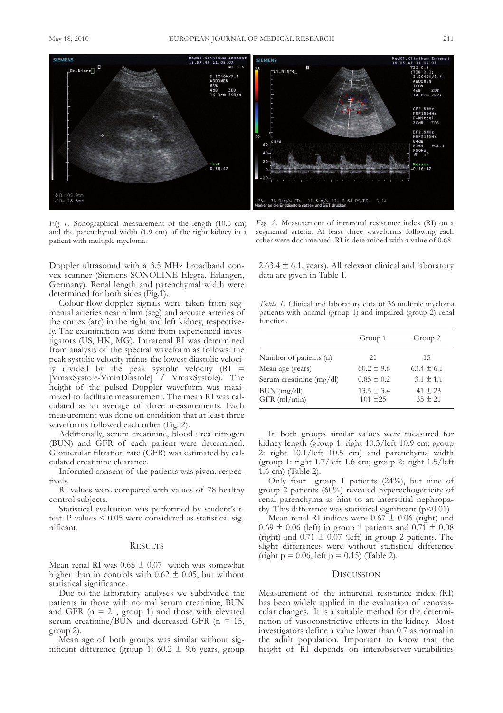

*Fig 1.* sonographical measurement of the length (10.6 cm) and the parenchymal width (1.9 cm) of the right kidney in a patient with multiple myeloma.

Doppler ultrasound with a 3.5 MHz broadband convex scanner (Siemens SONOLINE Elegra, Erlangen, Germany). Renal length and parenchymal width were determined for both sides (fig.1).

colour-flow-doppler signals were taken from segmental arteries near hilum (seg) and arcuate arteries of the cortex (arc) in the right and left kidney, respectively. The examination was done from experienced investigators (us, HK, MG). Intrarenal RI was determined from analysis of the spectral waveform as follows: the peak systolic velocity minus the lowest diastolic velocity divided by the peak systolic velocity (RI = [VmaxSystole-VminDiastole] / VmaxSystole). The height of the pulsed Doppler waveform was maximized to facilitate measurement. The mean RI was calculated as an average of three measurements. Each measurement was done on condition that at least three waveforms followed each other (fig. 2).

Additionally, serum creatinine, blood urea nitrogen (BUN) and GFR of each patient were determined. Glomerular filtration rate (GfR) was estimated by calculated creatinine clearance.

Informed consent of the patients was given, respectively.

RI values were compared with values of 78 healthy control subjects.

statistical evaluation was performed by student's ttest. P-values < 0.05 were considered as statistical significant.

### **RESULTS**

Mean renal RI was  $0.68 \pm 0.07$  which was somewhat higher than in controls with  $0.62 \pm 0.05$ , but without statistical significance.

Due to the laboratory analyses we subdivided the patients in those with normal serum creatinine, BUN and GFR ( $n = 21$ , group 1) and those with elevated serum creatinine/BUN and decreased GFR ( $n = 15$ , group 2).

Mean age of both groups was similar without significant difference (group 1:  $60.2 \pm 9.6$  years, group

*Fig. 2.* Measurement of intrarenal resistance index (RI) on a segmental arteria. At least three waveforms following each other were documented. RI is determined with a value of 0.68.

2:63.4  $\pm$  6.1. years). All relevant clinical and laboratory data are given in Table 1.

*Table 1.* clinical and laboratory data of 36 multiple myeloma patients with normal (group 1) and impaired (group 2) renal function.

|                               | Group 1                        | Group 2                    |
|-------------------------------|--------------------------------|----------------------------|
| Number of patients (n)        | 21                             | 15                         |
| Mean age (years)              | $60.2 \pm 9.6$                 | $63.4 \pm 6.1$             |
| Serum creatinine (mg/dl)      | $0.85 \pm 0.2$                 | $3.1 \pm 1.1$              |
| BUN (mg/dl)<br>$GFR$ (ml/min) | $13.5 \pm 3.4$<br>$101 \pm 25$ | $41 \pm 23$<br>$35 \pm 21$ |

In both groups similar values were measured for kidney length (group 1: right 10.3/left 10.9 cm; group 2: right 10.1/left 10.5 cm) and parenchyma width (group 1: right 1.7/left 1.6 cm; group 2: right 1.5/left 1.6 cm) (Table 2).

Only four group 1 patients (24%), but nine of group 2 patients (60%) revealed hyperechogenicity of renal parenchyma as hint to an interstitial nephropathy. This difference was statistical significant ( $p$ <0.01).

Mean renal RI indices were  $0.67 \pm 0.06$  (right) and  $0.69 \pm 0.06$  (left) in group 1 patients and  $0.71 \pm 0.08$ (right) and  $0.71 \pm 0.07$  (left) in group 2 patients. The slight differences were without statistical difference (right  $p = 0.06$ , left  $p = 0.15$ ) (Table 2).

## DIscussIon

Measurement of the intrarenal resistance index (RI) has been widely applied in the evaluation of renovascular changes. It is a suitable method for the determination of vasoconstrictive effects in the kidney. Most investigators define a value lower than 0.7 as normal in the adult population. Important to know that the height of RI depends on interobserver-variabilities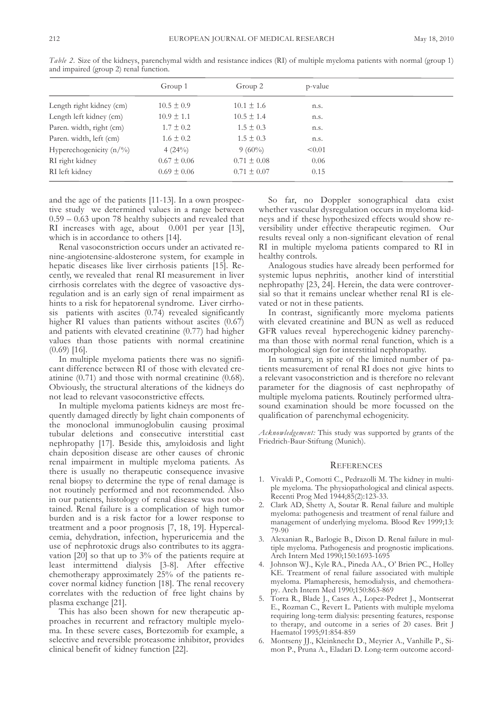|                            | Group 1         | Group 2         | p-value |
|----------------------------|-----------------|-----------------|---------|
| Length right kidney (cm)   | $10.5 \pm 0.9$  | $10.1 \pm 1.6$  | n.s.    |
| Length left kidney (cm)    | $10.9 \pm 1.1$  | $10.5 \pm 1.4$  | n.s.    |
| Paren. width, right (cm)   | $1.7 \pm 0.2$   | $1.5 \pm 0.3$   | n.s.    |
| Paren. width, left (cm)    | $1.6 \pm 0.2$   | $1.5 \pm 0.3$   | n.s.    |
| Hyperechogenicity $(n/\%)$ | 4(24%)          | $9(60\%)$       | < 0.01  |
| RI right kidney            | $0.67 \pm 0.06$ | $0.71 \pm 0.08$ | 0.06    |
| RI left kidney             | $0.69 \pm 0.06$ | $0.71 \pm 0.07$ | 0.15    |
|                            |                 |                 |         |

*Table 2.* size of the kidneys, parenchymal width and resistance indices (RI) of multiple myeloma patients with normal (group 1) and impaired (group 2) renal function.

and the age of the patients [11-13]. In a own prospective study we determined values in a range between 0.59 – 0.63 upon 78 healthy subjects and revealed that RI increases with age, about 0.001 per year [13], which is in accordance to others [14].

Renal vasoconstriction occurs under an activated renine-angiotensine-aldosterone system, for example in hepatic diseases like liver cirrhosis patients [15]. Recently, we revealed that renal RI measurement in liver cirrhosis correlates with the degree of vasoactive dysregulation and is an early sign of renal impairment as hints to a risk for hepatorenal syndrome. Liver cirrhosis patients with ascites (0.74) revealed significantly higher RI values than patients without ascites  $(0.67)$ and patients with elevated creatinine (0.77) had higher values than those patients with normal creatinine (0.69) [16].

In multiple myeloma patients there was no significant difference between RI of those with elevated creatinine (0.71) and those with normal creatinine (0.68). obviously, the structural alterations of the kidneys do not lead to relevant vasoconstrictive effects.

In multiple myeloma patients kidneys are most frequently damaged directly by light chain components of the monoclonal immunoglobulin causing proximal tubular deletions and consecutive interstitial cast nephropathy [17]. Beside this, amyloidosis and light chain deposition disease are other causes of chronic renal impairment in multiple myeloma patients. As there is usually no therapeutic consequence invasive renal biopsy to determine the type of renal damage is not routinely performed and not recommended. Also in our patients, histology of renal disease was not obtained. Renal failure is a complication of high tumor burden and is a risk factor for a lower response to treatment and a poor prognosis [7, 18, 19]. Hypercalcemia, dehydration, infection, hyperuricemia and the use of nephrotoxic drugs also contributes to its aggravation [20] so that up to 3% of the patients require at least intermittend dialysis [3-8]. after effective chemotherapy approximately 25% of the patients recover normal kidney function [18]. The renal recovery correlates with the reduction of free light chains by plasma exchange [21].

This has also been shown for new therapeutic approaches in recurrent and refractory multiple myeloma. In these severe cases, Bortezomib for example, a selective and reversible proteasome inhibitor, provides clinical benefit of kidney function [22].

so far, no Doppler sonographical data exist whether vascular dysregulation occurs in myeloma kidneys and if these hypothesized effects would show reversibility under effective therapeutic regimen. Our results reveal only a non-significant elevation of renal RI in multiple myeloma patients compared to RI in healthy controls.

analogous studies have already been performed for systemic lupus nephritis, another kind of interstitial nephropathy [23, 24]. Herein, the data were controversial so that it remains unclear whether renal RI is elevated or not in these patients.

In contrast, significantly more myeloma patients with elevated creatinine and BUN as well as reduced GfR values reveal hyperechogenic kidney parenchyma than those with normal renal function, which is a morphological sign for interstitial nephropathy.

In summary, in spite of the limited number of patients measurement of renal RI does not give hints to a relevant vasoconstriction and is therefore no relevant parameter for the diagnosis of cast nephropathy of multiple myeloma patients. Routinely performed ultrasound examination should be more focussed on the qualification of parenchymal echogenicity.

Acknowledgement: This study was supported by grants of the friedrich-Baur-stiftung (Munich).

# **REFERENCES**

- 1. Vivaldi P., Comotti C., Pedrazolli M. The kidney in multiple myeloma. The physiopathological and clinical aspects. Recenti Prog Med 1944;85(2):123-33.
- 2. clark aD, shetty a, soutar R. Renal failure and multiple myeloma: pathogenesis and treatment of renal failure and management of underlying myeloma. Blood Rev 1999;13: 79-90
- 3. alexanian R., Barlogie B., Dixon D. Renal failure in multiple myeloma. Pathogenesis and prognostic implications. arch Intern Med 1990;150:1693-1695
- 4. Johnson WJ., Kyle RA., Pineda AA., O' Brien PC., Holley KE. Treatment of renal failure associated with multiple myeloma. Plamapheresis, hemodialysis, and chemotherapy. Arch Intern Med 1990;150:863-869
- 5. Torra R., Blade J., Cases A., Lopez-Pedret J., Montserrat E., Rozman C., Revert L. Patients with multiple myeloma requiring long-term dialysis: presenting features, response to therapy, and outcome in a series of 20 cases. Brit J Haematol 1995;91:854-859
- 6. Montseny JJ., Kleinknecht D., Meyrier A., Vanhille P., Simon P., Pruna A., Eladari D. Long-term outcome accord-